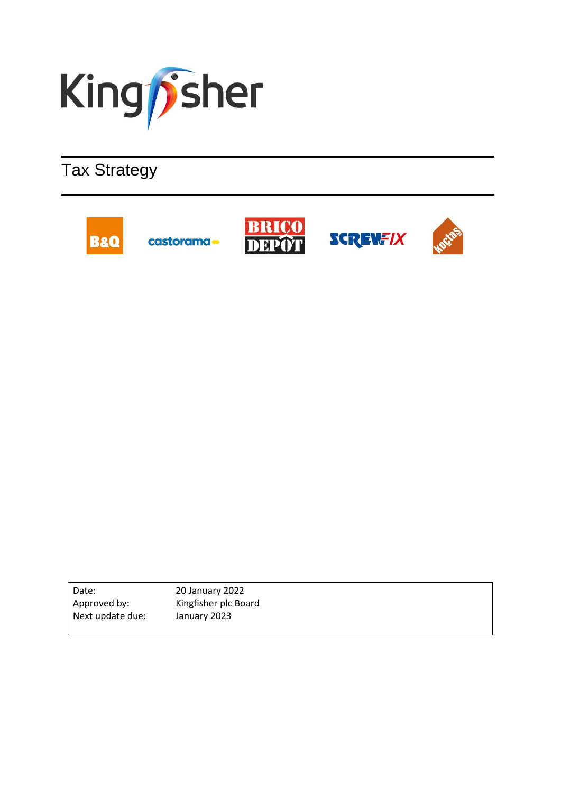

# Tax Strategy



20 January 2022 Kingfisher plc Board January 2023 Date: Approved by: Next update due: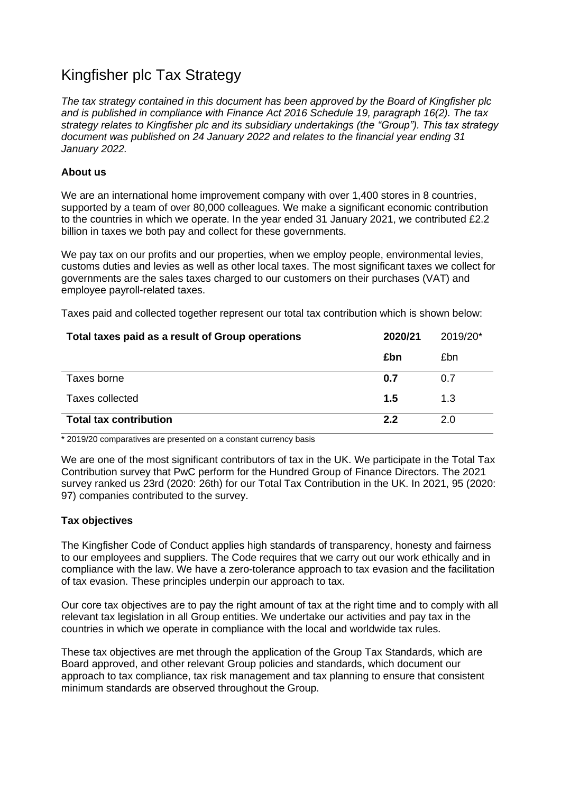# Kingfisher plc Tax Strategy

*The tax strategy contained in this document has been approved by the Board of Kingfisher plc and is published in compliance with Finance Act 2016 Schedule 19, paragraph 16(2). The tax strategy relates to Kingfisher plc and its subsidiary undertakings (the "Group"). This tax strategy document was published on 24 January 2022 and relates to the financial year ending 31 January 2022.* 

# **About us**

We are an international home improvement company with over 1,400 stores in 8 countries, supported by a team of over 80,000 colleagues. We make a significant economic contribution to the countries in which we operate. In the year ended 31 January 2021, we contributed £2.2 billion in taxes we both pay and collect for these governments.

We pay tax on our profits and our properties, when we employ people, environmental levies, customs duties and levies as well as other local taxes. The most significant taxes we collect for governments are the sales taxes charged to our customers on their purchases (VAT) and employee payroll-related taxes.

Taxes paid and collected together represent our total tax contribution which is shown below:

| Total taxes paid as a result of Group operations | 2020/21 | 2019/20* |
|--------------------------------------------------|---------|----------|
|                                                  | £bn     | £bn      |
| Taxes borne                                      | 0.7     | 0.7      |
| Taxes collected                                  | 1.5     | 1.3      |
| <b>Total tax contribution</b>                    | 2.2     | 2.0      |

\* 2019/20 comparatives are presented on a constant currency basis

We are one of the most significant contributors of tax in the UK. We participate in the Total Tax Contribution survey that PwC perform for the Hundred Group of Finance Directors. The 2021 survey ranked us 23rd (2020: 26th) for our Total Tax Contribution in the UK. In 2021, 95 (2020: 97) companies contributed to the survey.

## **Tax objectives**

The Kingfisher Code of Conduct applies high standards of transparency, honesty and fairness to our employees and suppliers. The Code requires that we carry out our work ethically and in compliance with the law. We have a zero-tolerance approach to tax evasion and the facilitation of tax evasion. These principles underpin our approach to tax.

Our core tax objectives are to pay the right amount of tax at the right time and to comply with all relevant tax legislation in all Group entities. We undertake our activities and pay tax in the countries in which we operate in compliance with the local and worldwide tax rules.

These tax objectives are met through the application of the Group Tax Standards, which are Board approved, and other relevant Group policies and standards, which document our approach to tax compliance, tax risk management and tax planning to ensure that consistent minimum standards are observed throughout the Group.